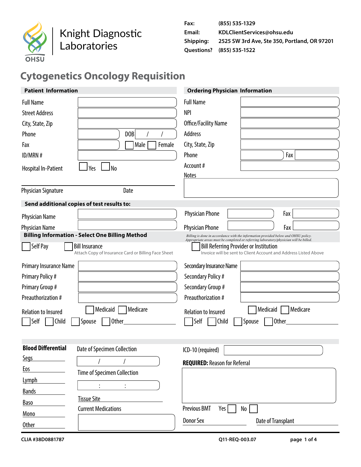

## Knight Diagnostic Laboratories

| Fax:      | (855) 535-1329                               |
|-----------|----------------------------------------------|
| Email:    | KDLClientServices@ohsu.edu                   |
| Shipping: | 2525 SW 3rd Ave, Ste 350, Portland, OR 97201 |
|           | Questions? (855) 535-1522                    |

# **Cytogenetics Oncology Requisition**

| <b>Patient Information</b> |                                                                              | <b>Ordering Physician Information</b>                                                                                                                                       |
|----------------------------|------------------------------------------------------------------------------|-----------------------------------------------------------------------------------------------------------------------------------------------------------------------------|
| <b>Full Name</b>           |                                                                              | <b>Full Name</b>                                                                                                                                                            |
| <b>Street Address</b>      |                                                                              | <b>NPI</b>                                                                                                                                                                  |
| City, State, Zip           |                                                                              | Office/Facility Name                                                                                                                                                        |
| Phone                      | DOB                                                                          | Address                                                                                                                                                                     |
| Fax                        | Male<br>Female                                                               | City, State, Zip                                                                                                                                                            |
| ID/MRN #                   |                                                                              | Phone<br>Fax                                                                                                                                                                |
| <b>Hospital In-Patient</b> | l No<br>Yes                                                                  | Account#                                                                                                                                                                    |
|                            |                                                                              | <b>Notes</b>                                                                                                                                                                |
| <b>Physician Signature</b> | Date                                                                         |                                                                                                                                                                             |
|                            | Send additional copies of test results to:                                   |                                                                                                                                                                             |
| <b>Physician Name</b>      |                                                                              | <b>Physician Phone</b><br>Fax                                                                                                                                               |
| Physician Name             |                                                                              | <b>Physician Phone</b><br>Fax                                                                                                                                               |
|                            | <b>Billing Information - Select One Billing Method</b>                       | Billing is done in accordance with the information provided below and OHSU policy.<br>Appropriate areas must be completed or referring laboratory/physician will be billed. |
| Self Pay                   | <b>Bill Insurance</b><br>Attach Copy of Insurance Card or Billing Face Sheet | <b>Bill Referring Provider or Institution</b><br>Invoice will be sent to Client Account and Address Listed Above                                                            |
| Primary Insurance Name     |                                                                              | Secondary Insurance Name                                                                                                                                                    |
| <b>Primary Policy#</b>     |                                                                              | Secondary Policy #                                                                                                                                                          |
| Primary Group #            |                                                                              | Secondary Group #                                                                                                                                                           |
| Preauthorization #         |                                                                              | Preauthorization #                                                                                                                                                          |
| <b>Relation to Insured</b> | Medicare<br>Medicaid                                                         | Medicare<br>Medicaid<br><b>Relation to Insured</b>                                                                                                                          |
| Self<br>Child              | Spouse<br>Other                                                              | Self<br>Child<br><b>Other</b><br>Spouse                                                                                                                                     |
|                            |                                                                              |                                                                                                                                                                             |
| <b>Blood Differential</b>  |                                                                              |                                                                                                                                                                             |
| <b>Segs</b>                | <b>Date of Specimen Collection</b>                                           | ICD-10 (required)                                                                                                                                                           |
| <u>Eos</u>                 |                                                                              | <b>REQUIRED: Reason for Referral</b>                                                                                                                                        |
|                            | <b>Time of Specimen Collection</b>                                           |                                                                                                                                                                             |
| Lymph<br><b>Bands</b>      |                                                                              |                                                                                                                                                                             |
| <b>Baso</b>                | <b>Tissue Site</b>                                                           |                                                                                                                                                                             |
|                            | <b>Current Medications</b>                                                   | <b>Previous BMT</b><br>Yes  <br>No                                                                                                                                          |
| Mono                       |                                                                              | <b>Donor Sex</b><br>Date of Transplant                                                                                                                                      |
| Other                      |                                                                              |                                                                                                                                                                             |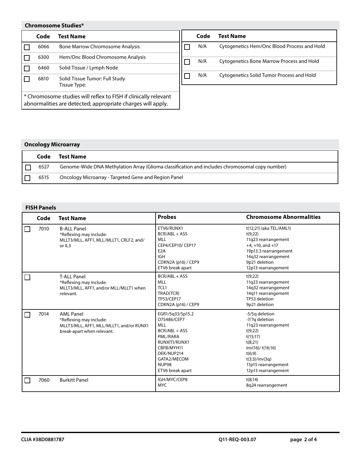### **Chromosome Studies\***

|                                                                                                                                | Code | <b>Test Name</b>                       | Code                                      | <b>Test Name</b>                            |
|--------------------------------------------------------------------------------------------------------------------------------|------|----------------------------------------|-------------------------------------------|---------------------------------------------|
|                                                                                                                                | 6066 | <b>Bone Marrow Chromosome Analysis</b> | N/A                                       | Cytogenetics Hem/Onc Blood Process and Hold |
|                                                                                                                                | 6300 | Hem/Onc Blood Chromosome Analysis      | N/A                                       | Cytogenetics Bone Marrow Process and Hold   |
|                                                                                                                                | 6460 | Solid Tissue / Lymph Node              |                                           |                                             |
| 6810<br>Solid Tissue Tumor: Full Study<br>Tissue Type:                                                                         |      | N/A                                    | Cytogenetics Solid Tumor Process and Hold |                                             |
| * Chromosome studies will reflex to FISH if clinically relevant<br>abnormalities are detected; appropriate charges will apply. |      |                                        |                                           |                                             |

## **Oncology Microarray**

| Code | Test Name                                                                                      |
|------|------------------------------------------------------------------------------------------------|
| 6527 | Genome-Wide DNA Methylation Array (Glioma classification and includes chromosomal copy number) |
| 6515 | Oncology Microarray - Targeted Gene and Region Panel                                           |

## **FISH Panels**

| Code | <b>Test Name</b>                                                                                                      | <b>Probes</b>                                                                                                                                                       | <b>Chromosome Abnormalities</b>                                                                                                                                                         |
|------|-----------------------------------------------------------------------------------------------------------------------|---------------------------------------------------------------------------------------------------------------------------------------------------------------------|-----------------------------------------------------------------------------------------------------------------------------------------------------------------------------------------|
| 7010 | <b>B-ALL Panel</b><br>*Reflexing may include:<br>MLLT3/MLL, AFF1, MLL/MLLT1, CRLF2, and/<br>or IL3                    | ETV6/RUNX1<br>BCR/ABL + ASS<br><b>MLL</b><br>CEP4/CEP10/ CEP17<br>E <sub>2</sub> A<br><b>IGH</b><br>CDKN2A (p16) / CEP9<br>ETV6 break apart                         | t(12;21) (aka TEL/AML1)<br>t(9:22)<br>11q23 rearrangement<br>$+4$ , $+10$ , and $+17$<br>19p13.3 rearrangement<br>14q32 rearrangement<br>9p21 deletion<br>12p13 rearrangement           |
|      | <b>T-ALL Panel</b><br>*Reflexing may include:<br>MLLT3/MLL, AFF1, and/or MLL/MLLT1 when<br>relevant.                  | BCR/ABL + ASS<br><b>MLL</b><br>TCL1<br>TRAD(TCR)<br><b>TP53/CEP17</b><br>CDKN2A (p16) / CEP9                                                                        | t(9;22)<br>11q23 rearrangement<br>14q32 rearrangement<br>14q11 rearrangement<br>TP53 deletion<br>9p21 deletion                                                                          |
| 7014 | <b>AML Panel</b><br>*Reflexing may include:<br>MLLT3/MLL, AFF1, MLL/MLLT1, and/or RUNX1<br>break-apart when relevant. | EGR1/5q33/5p15.2<br>D7S486/CEP7<br><b>MLL</b><br>BCR/ABL + ASS<br>PML/RARA<br>RUNXITI/RUNX1<br>CBFB/MYH11<br>DEK/NUP214<br>GATA2/MECOM<br>NUP98<br>ETV6 break apart | -5/5q deletion<br>-7/7q deletion<br>11q23 rearrangement<br>t(9;22)<br>t(15;17)<br>t(8;21)<br>inv(16)/t(16;16)<br>t(6;9)<br>t(3;3)/inv(3q)<br>11p15 rearrangement<br>12p13 rearrangement |
| 7060 | <b>Burkitt Panel</b>                                                                                                  | IGH/MYC/CEP8<br><b>MYC</b>                                                                                                                                          | t(8;14)<br>8q24 rearrangement                                                                                                                                                           |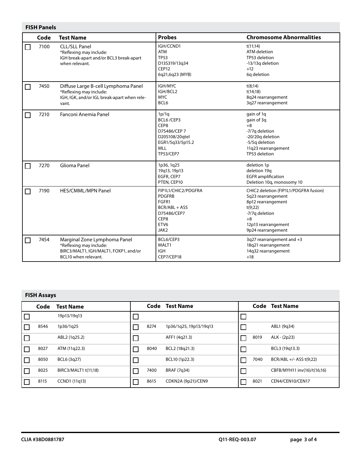|   | <b>FISH Panels</b> |                                                                                                                          |                                                                                                       |                                                                                                                                                                     |  |  |  |  |  |
|---|--------------------|--------------------------------------------------------------------------------------------------------------------------|-------------------------------------------------------------------------------------------------------|---------------------------------------------------------------------------------------------------------------------------------------------------------------------|--|--|--|--|--|
|   | Code               | <b>Test Name</b>                                                                                                         | <b>Probes</b>                                                                                         | <b>Chromosome Abnormalities</b>                                                                                                                                     |  |  |  |  |  |
| П | 7100               | <b>CLL/SLL Panel</b><br>*Reflexing may include:<br>IGH break-apart and/or BCL3 break-apart<br>when relevant.             | IGH/CCND1<br><b>ATM</b><br><b>TP53</b><br>D13S319/13q34<br>CEP12<br>6q21,6q23 (MYB)                   | t(11:14)<br>ATM deletion<br>TP53 deletion<br>-13/13q deletion<br>$+12$<br>6q deletion                                                                               |  |  |  |  |  |
| П | 7450               | Diffuse Large B-cell Lymphoma Panel<br>*Reflexing may include:<br>IGH, IGK, and/or IGL break-apart when rele-<br>vant.   | IGH/MYC<br>IGH/BCL2<br><b>MYC</b><br>BCL6                                                             | t(8;14)<br>t(14;18)<br>8q24 rearrangement<br>3q27 rearrangement                                                                                                     |  |  |  |  |  |
| П | 7210               | Fanconi Anemia Panel                                                                                                     | 1p/1q<br>BCL6/CEP3<br>CEP8<br>D7S486/CEP 7<br>D20S108/20gtel<br>EGR1/5q33/5p15.2<br>MLL<br>TP53/CEP7  | gain of 1g<br>gain of 3q<br>$+8$<br>-7/7q deletion<br>-20/20q deletion<br>-5/5q deletion<br>11q23 rearrangement<br>TP53 deletion                                    |  |  |  |  |  |
| П | 7270               | Glioma Panel                                                                                                             | 1p36, 1q25<br>19q13, 19p13<br>EGFR, CEP7<br>PTEN, CEP10                                               | deletion 1p<br>deletion 19q<br><b>EGFR</b> amplification<br>Deletion 10q, monosomy 10                                                                               |  |  |  |  |  |
| П | 7190               | HES/CMML/MPN Panel                                                                                                       | FIP1L1/CHIC2/PDGFRA<br><b>PDGFRB</b><br>FGFR1<br>BCR/ABL + ASS<br>D75486/CEP7<br>CEP8<br>ETV6<br>JAK2 | CHIC2 deletion (FIP1L1/PDGFRA fusion)<br>5q23 rearrangement<br>8p12 rearrangement<br>t(9;22)<br>-7/7q deletion<br>$+8$<br>12p13 rearrangement<br>9p24 rearrangement |  |  |  |  |  |
| П | 7454               | Marginal Zone Lymphoma Panel<br>*Reflexing may include:<br>BIRC3/MALT1, IGH/MALT1, FOXP1, and/or<br>BCL10 when relevant. | BCL6/CEP3<br>MALT1<br><b>IGH</b><br>CEP7/CEP18                                                        | 3q27 rearrangement and +3<br>18q21 rearrangement<br>14q32 rearrangement<br>$+18$                                                                                    |  |  |  |  |  |

#### **FISH Assays**

| Code | <b>Test Name</b>     |      | <b>Code</b> Test Name  |        |      | Code Test Name              |
|------|----------------------|------|------------------------|--------|------|-----------------------------|
|      | 19p13/19q13          |      |                        | $\Box$ |      |                             |
| 8546 | 1p36/1q25            | 8274 | 1p36/1q25, 19p13/19q13 | $\Box$ |      | ABL1 (9q34)                 |
|      | ABL2 (1q25.2)        |      | AFF1 (4q21.3)          |        | 8019 | ALK - (2p23)                |
| 8027 | ATM (11q22.3)        | 8040 | BCL2 (18q21.3)         | $\Box$ |      | BCL3 (19q13.3)              |
| 8050 | BCL6 (3q27)          |      | BCL10 (1p22.3)         | $\Box$ | 7040 | BCR/ABL +/- ASS t(9;22)     |
| 8025 | BIRC3/MALT1 t(11;18) | 7400 | BRAF (7q34)            | $\Box$ |      | CBFB/MYH11 inv(16)/t(16;16) |
| 8115 | CCND1 (11q13)        | 8615 | CDKN2A (9p21)/CEN9     |        | 8021 | CEN4/CEN10/CEN17            |